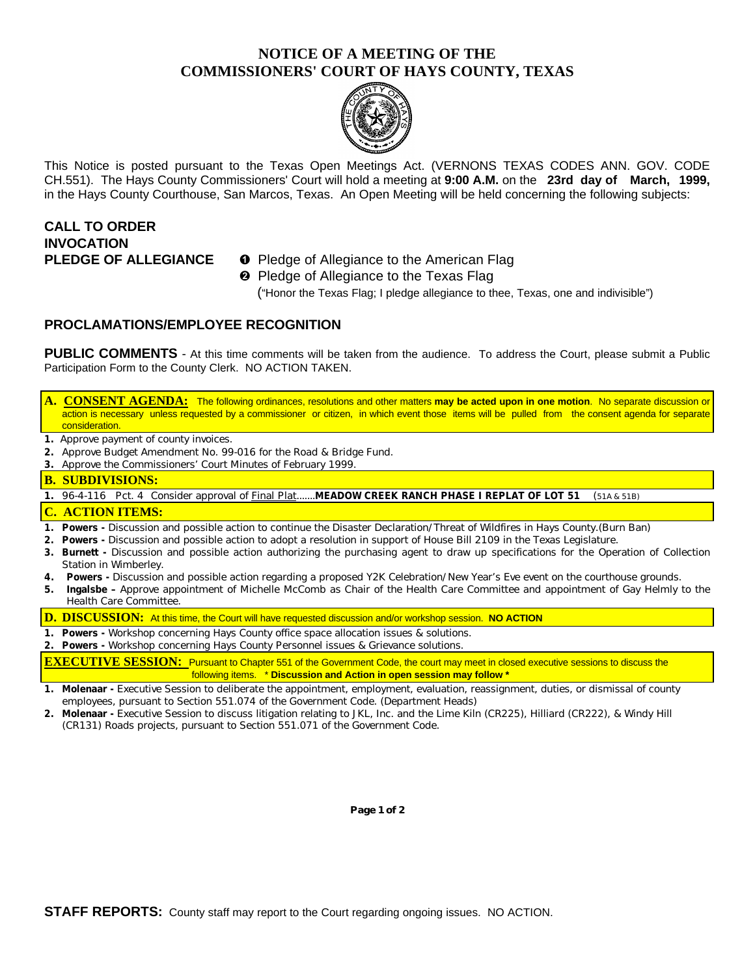### **NOTICE OF A MEETING OF THE COMMISSIONERS' COURT OF HAYS COUNTY, TEXAS**



This Notice is posted pursuant to the Texas Open Meetings Act. (VERNONS TEXAS CODES ANN. GOV. CODE CH.551). The Hays County Commissioners' Court will hold a meeting at **9:00 A.M.** on the **23rd day of March, 1999,** in the Hays County Courthouse, San Marcos, Texas. An Open Meeting will be held concerning the following subjects:

# **CALL TO ORDER INVOCATION**

- **PLEDGE OF ALLEGIANCE O** Pledge of Allegiance to the American Flag
	- **<sup>2</sup>** Pledge of Allegiance to the Texas Flag

("Honor the Texas Flag; I pledge allegiance to thee, Texas, one and indivisible")

### **PROCLAMATIONS/EMPLOYEE RECOGNITION**

**PUBLIC COMMENTS** - At this time comments will be taken from the audience. To address the Court, please submit a Public Participation Form to the County Clerk. NO ACTION TAKEN.

**A. CONSENT AGENDA:** The following ordinances, resolutions and other matters **may be acted upon in one motion**. No separate discussion or action is necessary unless requested by a commissioner or citizen, in which event those items will be pulled from the consent agenda for separate consideration.

- **1.** Approve payment of county invoices.
- **2.** Approve Budget Amendment No. 99-016 for the Road & Bridge Fund.
- **3.** Approve the Commissioners' Court Minutes of February 1999.

#### **B. SUBDIVISIONS:**

**1.** 96-4-116 Pct. 4 Consider approval of Final Plat.......**MEADOW CREEK RANCH PHASE I REPLAT OF LOT 51** (51A & 51B)

#### **C. ACTION ITEMS:**

- **1. Powers** Discussion and possible action to continue the Disaster Declaration/Threat of Wildfires in Hays County.(Burn Ban)
- **2. Powers -** Discussion and possible action to adopt a resolution in support of House Bill 2109 in the Texas Legislature.
- **3. Burnett -** Discussion and possible action authorizing the purchasing agent to draw up specifications for the Operation of Collection Station in Wimberley.
- **4. Powers -** Discussion and possible action regarding a proposed Y2K Celebration/New Year's Eve event on the courthouse grounds.
- **5. Ingalsbe** Approve appointment of Michelle McComb as Chair of the Health Care Committee and appointment of Gay Helmly to the Health Care Committee.

**D. DISCUSSION:** At this time, the Court will have requested discussion and/or workshop session. **NO ACTION**

- **1. Powers -** Workshop concerning Hays County office space allocation issues & solutions.
- **2. Powers -** Workshop concerning Hays County Personnel issues & Grievance solutions.

**EXECUTIVE SESSION:** Pursuant to Chapter 551 of the Government Code, the court may meet in closed executive sessions to discuss the following items. \* **Discussion and Action in open session may follow \***

- **1. Molenaar -** Executive Session to deliberate the appointment, employment, evaluation, reassignment, duties, or dismissal of county employees, pursuant to Section 551.074 of the Government Code. (Department Heads)
- **2. Molenaar -** Executive Session to discuss litigation relating to JKL, Inc. and the Lime Kiln (CR225), Hilliard (CR222), & Windy Hill (CR131) Roads projects, pursuant to Section 551.071 of the Government Code.

**Page 1 of 2**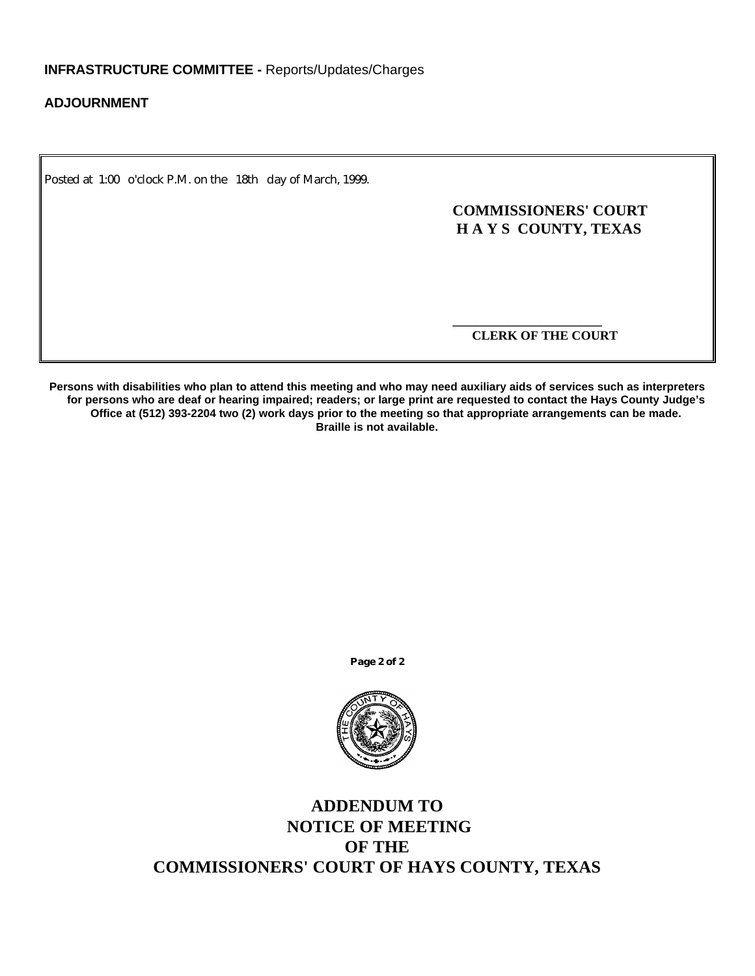### **ADJOURNMENT**

Posted at 1:00 o'clock P.M. on the 18th day of March, 1999.

### **COMMISSIONERS' COURT H A Y S COUNTY, TEXAS**

 **CLERK OF THE COURT**

**\_\_\_\_\_\_\_\_\_\_\_\_\_\_\_\_\_\_\_\_\_\_\_**

**Persons with disabilities who plan to attend this meeting and who may need auxiliary aids of services such as interpreters for persons who are deaf or hearing impaired; readers; or large print are requested to contact the Hays County Judge's Office at (512) 393-2204 two (2) work days prior to the meeting so that appropriate arrangements can be made. Braille is not available.**

**Page 2 of 2**



## **ADDENDUM TO NOTICE OF MEETING OF THE COMMISSIONERS' COURT OF HAYS COUNTY, TEXAS**